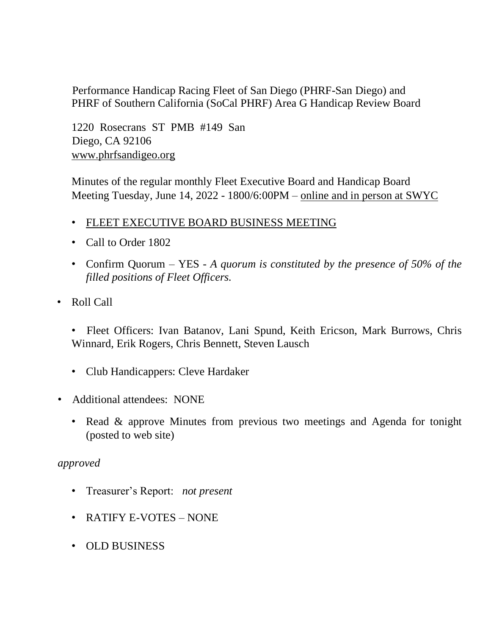Performance Handicap Racing Fleet of San Diego (PHRF-San Diego) and PHRF of Southern California (SoCal PHRF) Area G Handicap Review Board

1220 Rosecrans ST PMB #149 San Diego, CA 92106 [www.phrfsandigeo.org](http://www.phrfsandigeo.org/)

Minutes of the regular monthly Fleet Executive Board and Handicap Board Meeting Tuesday, June 14, 2022 - 1800/6:00PM – online and in person at SWYC

- FLEET EXECUTIVE BOARD BUSINESS MEETING
- Call to Order 1802
- Confirm Quorum YES *A quorum is constituted by the presence of 50% of the filled positions of Fleet Officers.*
- Roll Call

• Fleet Officers: Ivan Batanov, Lani Spund, Keith Ericson, Mark Burrows, Chris Winnard, Erik Rogers, Chris Bennett, Steven Lausch

- Club Handicappers: Cleve Hardaker
- Additional attendees: NONE
	- Read & approve Minutes from previous two meetings and Agenda for tonight (posted to web site)

## *approved*

- Treasurer's Report: *not present*
- RATIFY E-VOTES NONE
- OLD BUSINESS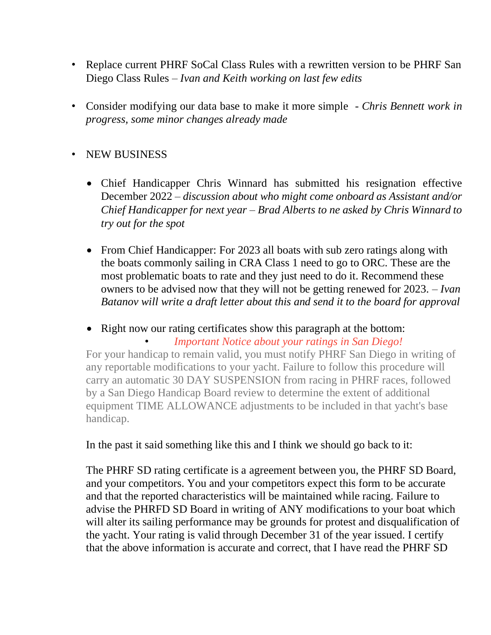- Replace current PHRF SoCal Class Rules with a rewritten version to be PHRF San Diego Class Rules *– Ivan and Keith working on last few edits*
- Consider modifying our data base to make it more simple *Chris Bennett work in progress, some minor changes already made*

## • NEW BUSINESS

- Chief Handicapper Chris Winnard has submitted his resignation effective December 2022 – *discussion about who might come onboard as Assistant and/or Chief Handicapper for next year – Brad Alberts to ne asked by Chris Winnard to try out for the spot*
- From Chief Handicapper: For 2023 all boats with sub zero ratings along with the boats commonly sailing in CRA Class 1 need to go to ORC. These are the most problematic boats to rate and they just need to do it. Recommend these owners to be advised now that they will not be getting renewed for 2023. – *Ivan Batanov will write a draft letter about this and send it to the board for approval*

• Right now our rating certificates show this paragraph at the bottom:

• *Important Notice about your ratings in San Diego!* For your handicap to remain valid, you must notify PHRF San Diego in writing of any reportable modifications to your yacht. Failure to follow this procedure will carry an automatic 30 DAY SUSPENSION from racing in PHRF races, followed by a San Diego Handicap Board review to determine the extent of additional equipment TIME ALLOWANCE adjustments to be included in that yacht's base handicap.

In the past it said something like this and I think we should go back to it:

The PHRF SD rating certificate is a agreement between you, the PHRF SD Board, and your competitors. You and your competitors expect this form to be accurate and that the reported characteristics will be maintained while racing. Failure to advise the PHRFD SD Board in writing of ANY modifications to your boat which will alter its sailing performance may be grounds for protest and disqualification of the yacht. Your rating is valid through December 31 of the year issued. I certify that the above information is accurate and correct, that I have read the PHRF SD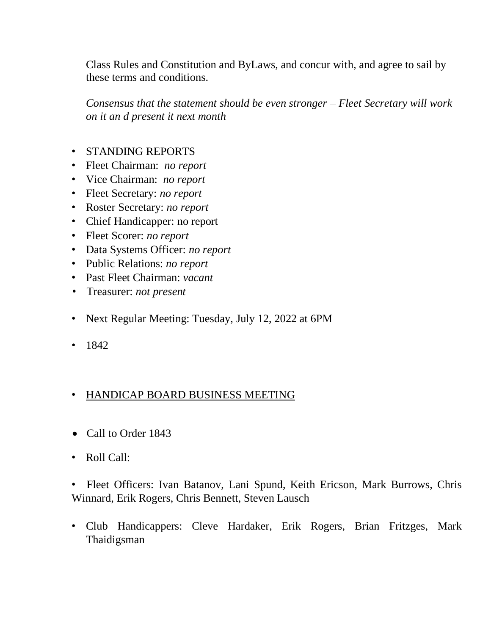Class Rules and Constitution and ByLaws, and concur with, and agree to sail by these terms and conditions.

*Consensus that the statement should be even stronger – Fleet Secretary will work on it an d present it next month* 

- STANDING REPORTS
- Fleet Chairman: *no report*
- Vice Chairman: *no report*
- Fleet Secretary: *no report*
- Roster Secretary: *no report*
- Chief Handicapper: no report
- Fleet Scorer: *no report*
- Data Systems Officer: *no report*
- Public Relations: *no report*
- Past Fleet Chairman: *vacant*
- Treasurer: *not present*
- Next Regular Meeting: Tuesday, July 12, 2022 at 6PM
- 1842

## • HANDICAP BOARD BUSINESS MEETING

- Call to Order 1843
- Roll Call:

• Fleet Officers: Ivan Batanov, Lani Spund, Keith Ericson, Mark Burrows, Chris Winnard, Erik Rogers, Chris Bennett, Steven Lausch

• Club Handicappers: Cleve Hardaker, Erik Rogers, Brian Fritzges, Mark Thaidigsman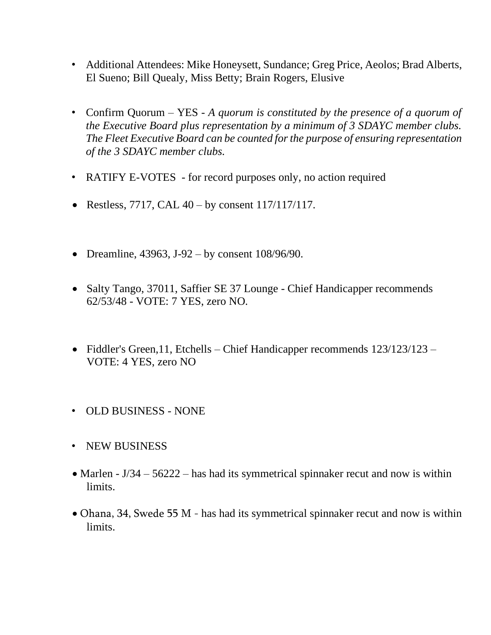- Additional Attendees: Mike Honeysett, Sundance; Greg Price, Aeolos; Brad Alberts, El Sueno; Bill Quealy, Miss Betty; Brain Rogers, Elusive
- Confirm Quorum YES *A quorum is constituted by the presence of a quorum of the Executive Board plus representation by a minimum of 3 SDAYC member clubs. The Fleet Executive Board can be counted for the purpose of ensuring representation of the 3 SDAYC member clubs.*
- RATIFY E-VOTES for record purposes only, no action required
- Restless, 7717, CAL  $40 by constant$  117/117/117.
- Dreamline, 43963, J-92 by consent  $108/96/90$ .
- Salty Tango, 37011, Saffier SE 37 Lounge Chief Handicapper recommends 62/53/48 - VOTE: 7 YES, zero NO.
- Fiddler's Green, 11, Etchells Chief Handicapper recommends 123/123/123 VOTE: 4 YES, zero NO
- OLD BUSINESS NONE
- NEW BUSINESS
- Marlen J/34 56222 has had its symmetrical spinnaker recut and now is within limits.
- Ohana, 34, Swede 55 M has had its symmetrical spinnaker recut and now is within limits.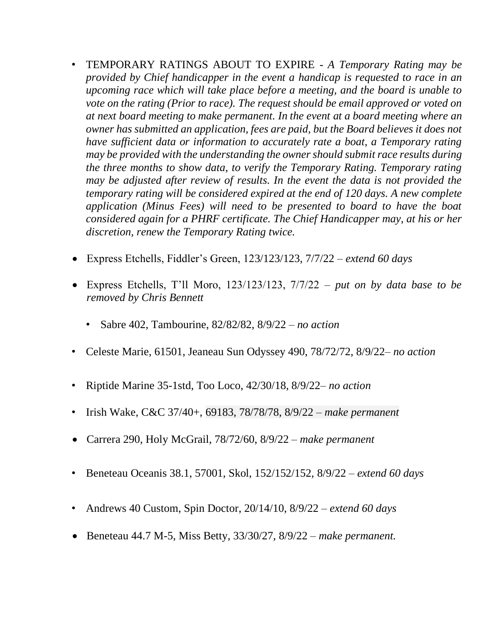- TEMPORARY RATINGS ABOUT TO EXPIRE *A Temporary Rating may be provided by Chief handicapper in the event a handicap is requested to race in an upcoming race which will take place before a meeting, and the board is unable to vote on the rating (Prior to race). The request should be email approved or voted on at next board meeting to make permanent. In the event at a board meeting where an owner has submitted an application, fees are paid, but the Board believes it does not have sufficient data or information to accurately rate a boat, a Temporary rating may be provided with the understanding the owner should submit race results during the three months to show data, to verify the Temporary Rating. Temporary rating may be adjusted after review of results. In the event the data is not provided the temporary rating will be considered expired at the end of 120 days. A new complete application (Minus Fees) will need to be presented to board to have the boat considered again for a PHRF certificate. The Chief Handicapper may, at his or her discretion, renew the Temporary Rating twice.*
- Express Etchells, Fiddler's Green, 123/123/123, 7/7/22 *extend 60 days*
- Express Etchells, T'll Moro, 123/123/123, 7/7/22 *put on by data base to be removed by Chris Bennett*
	- Sabre 402, Tambourine, 82/82/82, 8/9/22 *– no action*
- Celeste Marie, 61501, Jeaneau Sun Odyssey 490, 78/72/72, 8/9/22*– no action*
- Riptide Marine 35-1std, Too Loco, 42/30/18, 8/9/22*– no action*
- Irish Wake, C&C 37/40+, 69183, 78/78/78, 8/9/22 *make permanent*
- Carrera 290, Holy McGrail, 78/72/60, 8/9/22 *make permanent*
- Beneteau Oceanis 38.1, 57001, Skol, 152/152/152, 8/9/22 *– extend 60 days*
- Andrews 40 Custom, Spin Doctor, 20/14/10, 8/9/22 *– extend 60 days*
- Beneteau 44.7 M-5, Miss Betty, 33/30/27, 8/9/22 *make permanent.*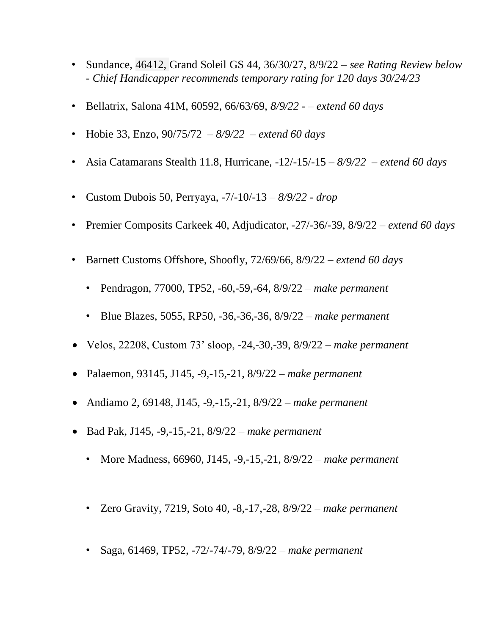- Sundance, 46412, Grand Soleil GS 44, 36/30/27, 8/9/22 *– see Rating Review below - Chief Handicapper recommends temporary rating for 120 days 30/24/23*
- Bellatrix, Salona 41M, 60592, 66/63/69, *8/9/22 – extend 60 days*
- Hobie 33, Enzo, 90/75/72 *– 8/9/22 – extend 60 days*
- Asia Catamarans Stealth 11.8, Hurricane, -12/-15/-15 *– 8/9/22 – extend 60 days*
- Custom Dubois 50, Perryaya, -7/-10/-13 *– 8/9/22 drop*
- Premier Composits Carkeek 40, Adjudicator, -27/-36/-39, 8/9/22 *– extend 60 days*
- Barnett Customs Offshore, Shoofly, 72/69/66, 8/9/22 *extend 60 days*
	- Pendragon, 77000, TP52, -60,-59,-64, 8/9/22 *make permanent*
	- Blue Blazes, 5055, RP50, -36,-36,-36, 8/9/22 *– make permanent*
- Velos, 22208, Custom 73' sloop, -24,-30,-39, 8/9/22 *make permanent*
- Palaemon, 93145, J145, -9,-15,-21, 8/9/22 *make permanent*
- Andiamo 2, 69148, J145, -9,-15,-21, 8/9/22 *make permanent*
- Bad Pak, J145, -9,-15,-21, 8/9/22 *make permanent*
	- More Madness, 66960, J145, -9,-15,-21, 8/9/22 *make permanent*
	- Zero Gravity, 7219, Soto 40, -8,-17,-28, 8/9/22 *make permanent*
	- Saga, 61469, TP52, -72/-74/-79, 8/9/22 *make permanent*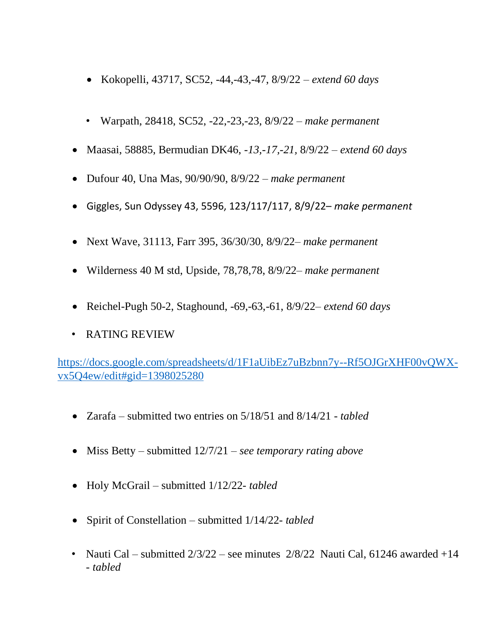- Kokopelli, 43717, SC52, -44,-43,-47, 8/9/22 *– extend 60 days*
- Warpath, 28418, SC52, -22,-23,-23, 8/9/22 *make permanent*
- Maasai, 58885, Bermudian DK46, *-13,-17,-21,* 8/9/22 *– extend 60 days*
- Dufour 40, Una Mas, 90/90/90, 8/9/22 *make permanent*
- Giggles, Sun Odyssey 43, 5596, 123/117/117, 8/9/22– *make permanent*
- Next Wave, 31113, Farr 395, 36/30/30, 8/9/22– *make permanent*
- Wilderness 40 M std, Upside, 78,78,78, 8/9/22– *make permanent*
- Reichel-Pugh 50-2, Staghound, -69,-63,-61, 8/9/22*– extend 60 days*
- RATING REVIEW

[https://docs.google.com/spreadsheets/d/1F1aUibEz7uBzbnn7y--Rf5OJGrXHF00vQWX](https://docs.google.com/spreadsheets/d/1F1aUibEz7uBzbnn7y--Rf5OJGrXHF00vQWX-vx5Q4ew/edit#gid=1398025280)[vx5Q4ew/edit#gid=1398025280](https://docs.google.com/spreadsheets/d/1F1aUibEz7uBzbnn7y--Rf5OJGrXHF00vQWX-vx5Q4ew/edit#gid=1398025280)

- Zarafa submitted two entries on 5/18/51 and 8/14/21 *- tabled*
- Miss Betty submitted 12/7/21 *see temporary rating above*
- Holy McGrail submitted 1/12/22*- tabled*
- Spirit of Constellation submitted 1/14/22*- tabled*
- Nauti Cal submitted  $2/3/22$  see minutes  $2/8/22$  Nauti Cal, 61246 awarded +14 *- tabled*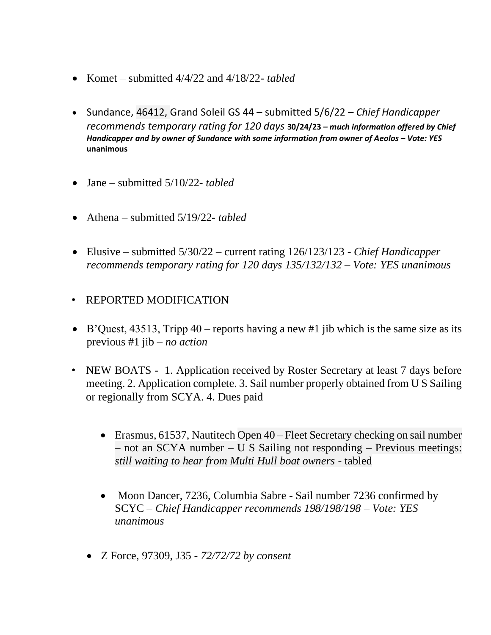- Komet submitted 4/4/22 and 4/18/22*- tabled*
- Sundance, 46412, Grand Soleil GS 44 submitted 5/6/22 *Chief Handicapper recommends temporary rating for 120 days* **30/24/23** *– much information offered by Chief Handicapper and by owner of Sundance with some information from owner of Aeolos – Vote: YES* **unanimous**
- Jane submitted 5/10/22*- tabled*
- Athena submitted 5/19/22*- tabled*
- Elusive submitted 5/30/22 current rating 126/123/123 *Chief Handicapper recommends temporary rating for 120 days 135/132/132 – Vote: YES unanimous*
- REPORTED MODIFICATION
- B'Quest, 43513, Tripp 40 reports having a new #1 jib which is the same size as its previous #1 jib *– no action*
- NEW BOATS 1. Application received by Roster Secretary at least 7 days before meeting. 2. Application complete. 3. Sail number properly obtained from U S Sailing or regionally from SCYA. 4. Dues paid
	- Erasmus, 61537, Nautitech Open 40 Fleet Secretary checking on sail number – not an SCYA number – U S Sailing not responding – Previous meetings: *still waiting to hear from Multi Hull boat owners* - tabled
	- Moon Dancer, 7236, Columbia Sabre Sail number 7236 confirmed by SCYC *– Chief Handicapper recommends 198/198/198 – Vote: YES unanimous*
	- Z Force, 97309, J35 *- 72/72/72 by consent*